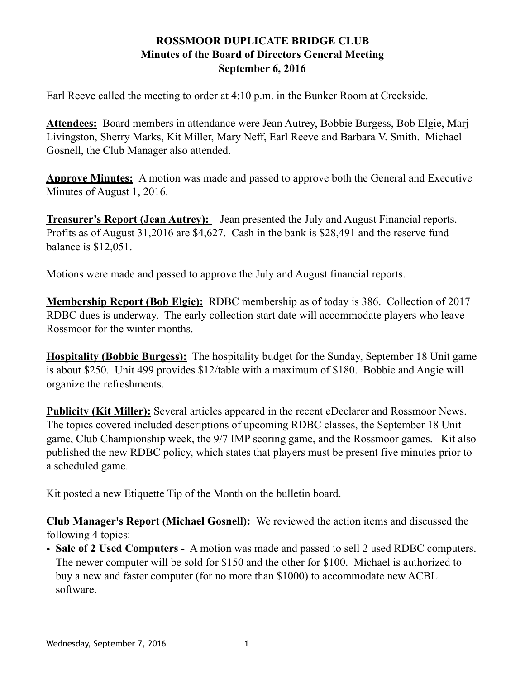## **ROSSMOOR DUPLICATE BRIDGE CLUB Minutes of the Board of Directors General Meeting September 6, 2016**

Earl Reeve called the meeting to order at 4:10 p.m. in the Bunker Room at Creekside.

**Attendees:** Board members in attendance were Jean Autrey, Bobbie Burgess, Bob Elgie, Marj Livingston, Sherry Marks, Kit Miller, Mary Neff, Earl Reeve and Barbara V. Smith. Michael Gosnell, the Club Manager also attended.

**Approve Minutes:** A motion was made and passed to approve both the General and Executive Minutes of August 1, 2016.

**Treasurer's Report (Jean Autrey):** Jean presented the July and August Financial reports. Profits as of August 31,2016 are \$4,627. Cash in the bank is \$28,491 and the reserve fund balance is \$12,051.

Motions were made and passed to approve the July and August financial reports.

**Membership Report (Bob Elgie):** RDBC membership as of today is 386. Collection of 2017 RDBC dues is underway. The early collection start date will accommodate players who leave Rossmoor for the winter months.

**Hospitality (Bobbie Burgess):** The hospitality budget for the Sunday, September 18 Unit game is about \$250. Unit 499 provides \$12/table with a maximum of \$180. Bobbie and Angie will organize the refreshments.

**Publicity (Kit Miller):** Several articles appeared in the recent eDeclarer and Rossmoor News. The topics covered included descriptions of upcoming RDBC classes, the September 18 Unit game, Club Championship week, the 9/7 IMP scoring game, and the Rossmoor games. Kit also published the new RDBC policy, which states that players must be present five minutes prior to a scheduled game.

Kit posted a new Etiquette Tip of the Month on the bulletin board.

**Club Manager's Report (Michael Gosnell):** We reviewed the action items and discussed the following 4 topics:

• **Sale of 2 Used Computers** - A motion was made and passed to sell 2 used RDBC computers. The newer computer will be sold for \$150 and the other for \$100. Michael is authorized to buy a new and faster computer (for no more than \$1000) to accommodate new ACBL software.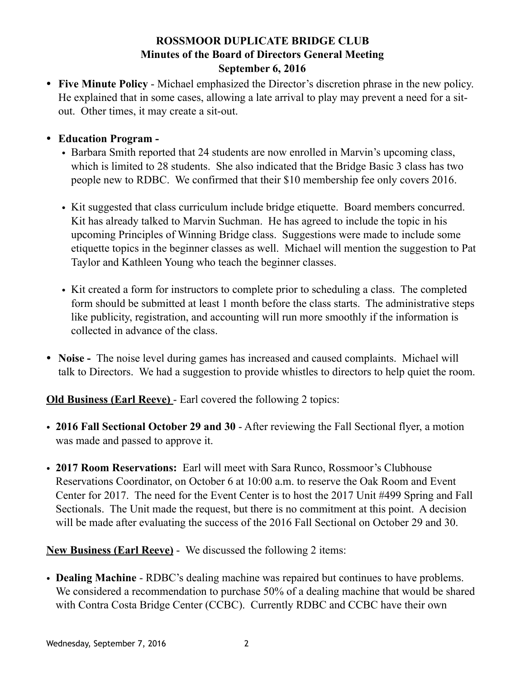## **ROSSMOOR DUPLICATE BRIDGE CLUB Minutes of the Board of Directors General Meeting September 6, 2016**

- **Five Minute Policy** Michael emphasized the Director's discretion phrase in the new policy. He explained that in some cases, allowing a late arrival to play may prevent a need for a sitout. Other times, it may create a sit-out.
- **Education Program** 
	- Barbara Smith reported that 24 students are now enrolled in Marvin's upcoming class, which is limited to 28 students. She also indicated that the Bridge Basic 3 class has two people new to RDBC. We confirmed that their \$10 membership fee only covers 2016.
	- Kit suggested that class curriculum include bridge etiquette. Board members concurred. Kit has already talked to Marvin Suchman. He has agreed to include the topic in his upcoming Principles of Winning Bridge class. Suggestions were made to include some etiquette topics in the beginner classes as well. Michael will mention the suggestion to Pat Taylor and Kathleen Young who teach the beginner classes.
	- Kit created a form for instructors to complete prior to scheduling a class. The completed form should be submitted at least 1 month before the class starts. The administrative steps like publicity, registration, and accounting will run more smoothly if the information is collected in advance of the class.
- **Noise** The noise level during games has increased and caused complaints. Michael will talk to Directors. We had a suggestion to provide whistles to directors to help quiet the room.

**Old Business (Earl Reeve)** - Earl covered the following 2 topics:

- **2016 Fall Sectional October 29 and 30** After reviewing the Fall Sectional flyer, a motion was made and passed to approve it.
- **2017 Room Reservations:** Earl will meet with Sara Runco, Rossmoor's Clubhouse Reservations Coordinator, on October 6 at 10:00 a.m. to reserve the Oak Room and Event Center for 2017. The need for the Event Center is to host the 2017 Unit #499 Spring and Fall Sectionals. The Unit made the request, but there is no commitment at this point. A decision will be made after evaluating the success of the 2016 Fall Sectional on October 29 and 30.

**New Business (Earl Reeve)** - We discussed the following 2 items:

• **Dealing Machine** - RDBC's dealing machine was repaired but continues to have problems. We considered a recommendation to purchase 50% of a dealing machine that would be shared with Contra Costa Bridge Center (CCBC). Currently RDBC and CCBC have their own